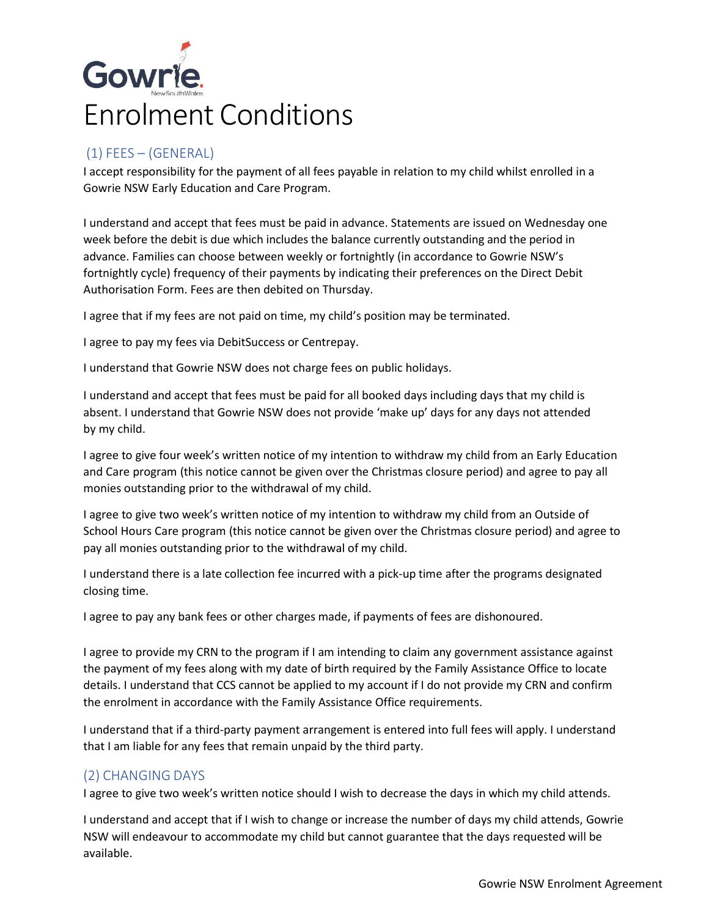# Gowrie. Enrolment Conditions

# (1) FEES – (GENERAL)

I accept responsibility for the payment of all fees payable in relation to my child whilst enrolled in a Gowrie NSW Early Education and Care Program.

I understand and accept that fees must be paid in advance. Statements are issued on Wednesday one week before the debit is due which includes the balance currently outstanding and the period in advance. Families can choose between weekly or fortnightly (in accordance to Gowrie NSW's fortnightly cycle) frequency of their payments by indicating their preferences on the Direct Debit Authorisation Form. Fees are then debited on Thursday.

I agree that if my fees are not paid on time, my child's position may be terminated.

I agree to pay my fees via DebitSuccess or Centrepay.

I understand that Gowrie NSW does not charge fees on public holidays.

I understand and accept that fees must be paid for all booked days including days that my child is absent. I understand that Gowrie NSW does not provide 'make up' days for any days not attended by my child.

I agree to give four week's written notice of my intention to withdraw my child from an Early Education and Care program (this notice cannot be given over the Christmas closure period) and agree to pay all monies outstanding prior to the withdrawal of my child.

I agree to give two week's written notice of my intention to withdraw my child from an Outside of School Hours Care program (this notice cannot be given over the Christmas closure period) and agree to pay all monies outstanding prior to the withdrawal of my child.

I understand there is a late collection fee incurred with a pick-up time after the programs designated closing time.

I agree to pay any bank fees or other charges made, if payments of fees are dishonoured.

I agree to provide my CRN to the program if I am intending to claim any government assistance against the payment of my fees along with my date of birth required by the Family Assistance Office to locate details. I understand that CCS cannot be applied to my account if I do not provide my CRN and confirm the enrolment in accordance with the Family Assistance Office requirements.

I understand that if a third-party payment arrangement is entered into full fees will apply. I understand that I am liable for any fees that remain unpaid by the third party.

## (2) CHANGING DAYS

I agree to give two week's written notice should I wish to decrease the days in which my child attends.

I understand and accept that if I wish to change or increase the number of days my child attends, Gowrie NSW will endeavour to accommodate my child but cannot guarantee that the days requested will be available.